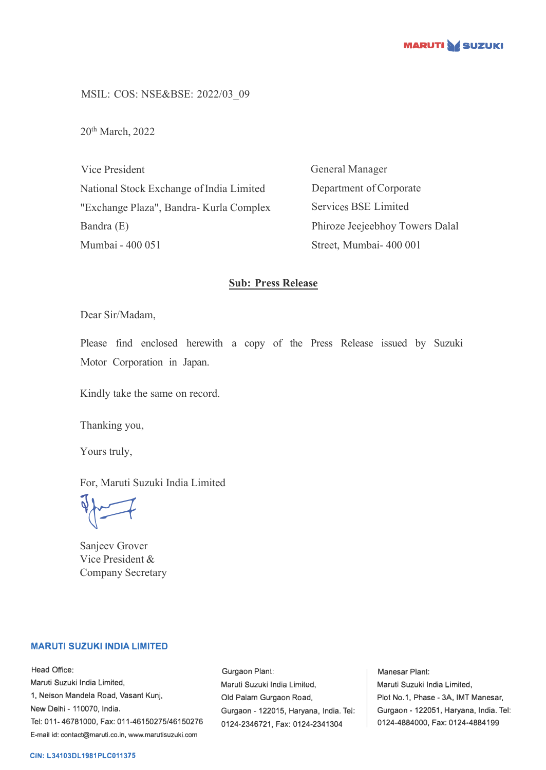

MSIL: COS: NSE&BSE: 2022/03\_09

20th March, 2022

Vice President National Stock Exchange of India Limited "Exchange Plaza", Bandra- Kurla Complex Bandra (E) Mumbai - 400 051

General Manager Department of Corporate Services BSE Limited Phiroze Jeejeebhoy Towers Dalal Street, Mumbai- 400 001

## **Sub: Press Release**

Dear Sir/Madam,

Please find enclosed herewith a copy of the Press Release issued by Suzuki Motor Corporation in Japan.

Kindly take the same on record.

Thanking you,

Yours truly,

For, Maruti Suzuki India Limited

 $\sqrt{2}$ 

Sanjeev Grover Vice President & Company Secretary

## **MARUTI SUZUKI INDIA LIMITED**

Head Office: Maruti Suzuki India Limited, 1, Nelson Mandela Road, Vasant Kunj, New Delhi - 110070, India. Tel: 011-46781000, Fax: 011-46150275/46150276 E-mail id: contact@maruti.co.in, www.marutisuzuki.com

Gurgaon Plant: Maruli Suzuki India Lirniled, Old Palam Gurgaon Road, Gurgaon - 122015, Haryana, India. Tel: 0124-2346721, Fax: 0124-2341304

Manesar Plant: Maruti Suzuki India Limited, Plot No.1, Phase - 3A, IMT Manesar, Gurgaon - 122051, Haryana, India. Tel: 0124-4884000, Fax: 0124-4884199

## **CIN: L34103DL1981PLC011375**